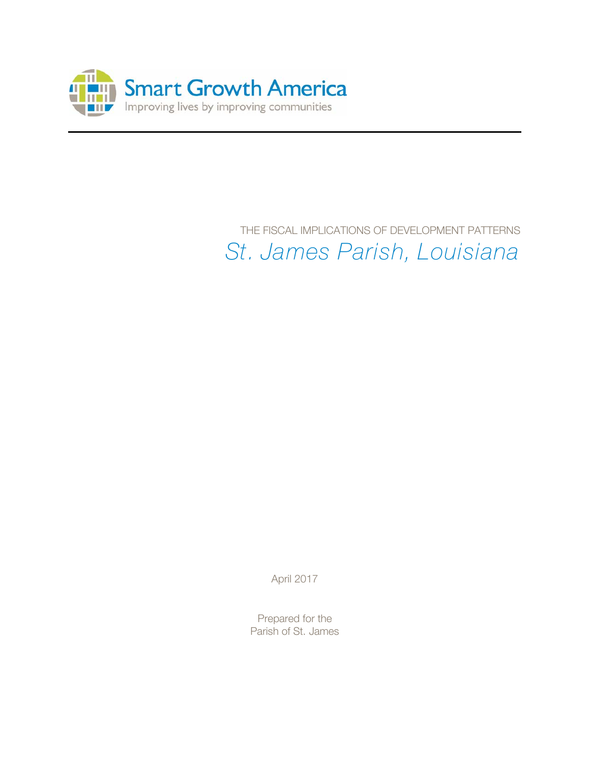

THE FISCAL IMPLICATIONS OF DEVELOPMENT PATTERNS *St. James Parish, Louisiana*

April 2017

Prepared for the Parish of St. James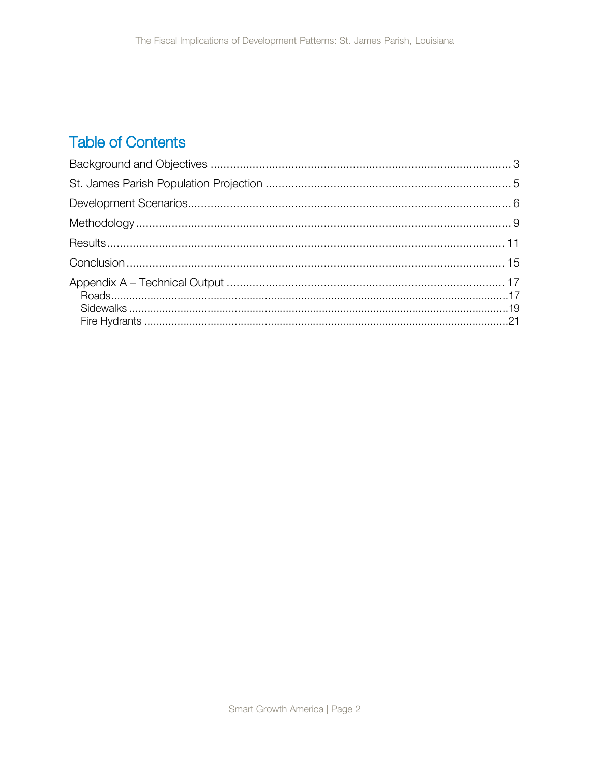## **Table of Contents**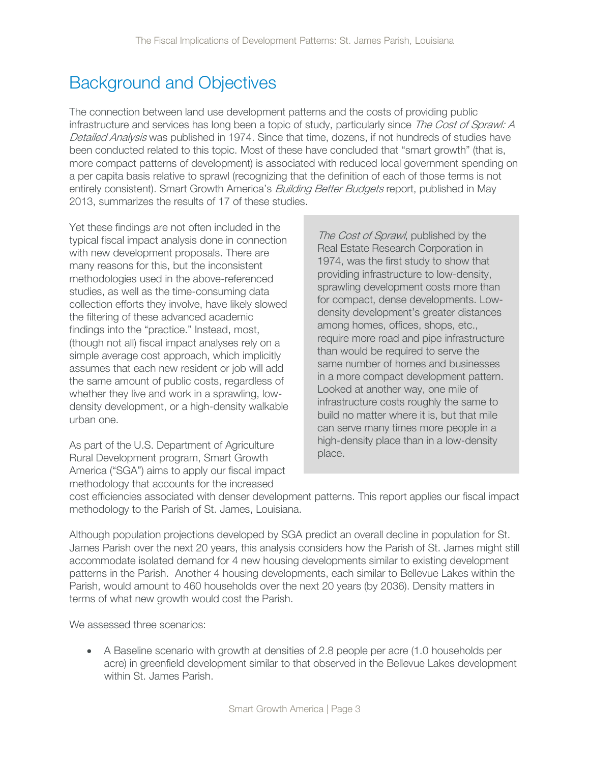# Background and Objectives

The connection between land use development patterns and the costs of providing public infrastructure and services has long been a topic of study, particularly since The Cost of Sprawl: A Detailed Analysis was published in 1974. Since that time, dozens, if not hundreds of studies have been conducted related to this topic. Most of these have concluded that "smart growth" (that is, more compact patterns of development) is associated with reduced local government spending on a per capita basis relative to sprawl (recognizing that the definition of each of those terms is not entirely consistent). Smart Growth America's *Building Better Budgets* report, published in May 2013, summarizes the results of 17 of these studies.

Yet these findings are not often included in the typical fiscal impact analysis done in connection with new development proposals. There are many reasons for this, but the inconsistent methodologies used in the above-referenced studies, as well as the time-consuming data collection efforts they involve, have likely slowed the filtering of these advanced academic findings into the "practice." Instead, most, (though not all) fiscal impact analyses rely on a simple average cost approach, which implicitly assumes that each new resident or job will add the same amount of public costs, regardless of whether they live and work in a sprawling, lowdensity development, or a high-density walkable urban one.

As part of the U.S. Department of Agriculture Rural Development program, Smart Growth America ("SGA") aims to apply our fiscal impact methodology that accounts for the increased

The Cost of Sprawl, published by the Real Estate Research Corporation in 1974, was the first study to show that providing infrastructure to low-density, sprawling development costs more than for compact, dense developments. Lowdensity development's greater distances among homes, offices, shops, etc., require more road and pipe infrastructure than would be required to serve the same number of homes and businesses in a more compact development pattern. Looked at another way, one mile of infrastructure costs roughly the same to build no matter where it is, but that mile can serve many times more people in a high-density place than in a low-density place.

cost efficiencies associated with denser development patterns. This report applies our fiscal impact methodology to the Parish of St. James, Louisiana.

Although population projections developed by SGA predict an overall decline in population for St. James Parish over the next 20 years, this analysis considers how the Parish of St. James might still accommodate isolated demand for 4 new housing developments similar to existing development patterns in the Parish. Another 4 housing developments, each similar to Bellevue Lakes within the Parish, would amount to 460 households over the next 20 years (by 2036). Density matters in terms of what new growth would cost the Parish.

We assessed three scenarios:

• A Baseline scenario with growth at densities of 2.8 people per acre (1.0 households per acre) in greenfield development similar to that observed in the Bellevue Lakes development within St. James Parish.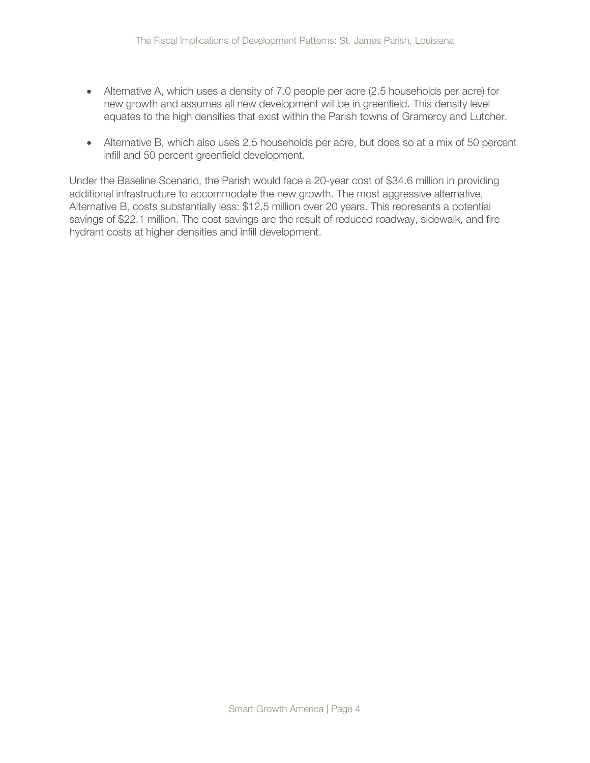- Alternative A, which uses a density of 7.0 people per acre (2.5 households per acre) for new growth and assumes all new development will be in greenfield. This density level equates to the high densities that exist within the Parish towns of Gramercy and Lutcher.
- Alternative B, which also uses 2.5 households per acre, but does so at a mix of 50 percent infill and 50 percent greenfield development.

Under the Baseline Scenario, the Parish would face a 20-year cost of [\\$34.6](#page-11-0) million in providing additional infrastructure to accommodate the new growth. The most aggressive alternative, Alternative B, costs substantially less: [\\$12.5](#page-11-1) million over 20 years. This represents a potential savings of [\\$22.1](#page-13-0) million. The cost savings are the result of reduced roadway, sidewalk, and fire hydrant costs at higher densities and infill development.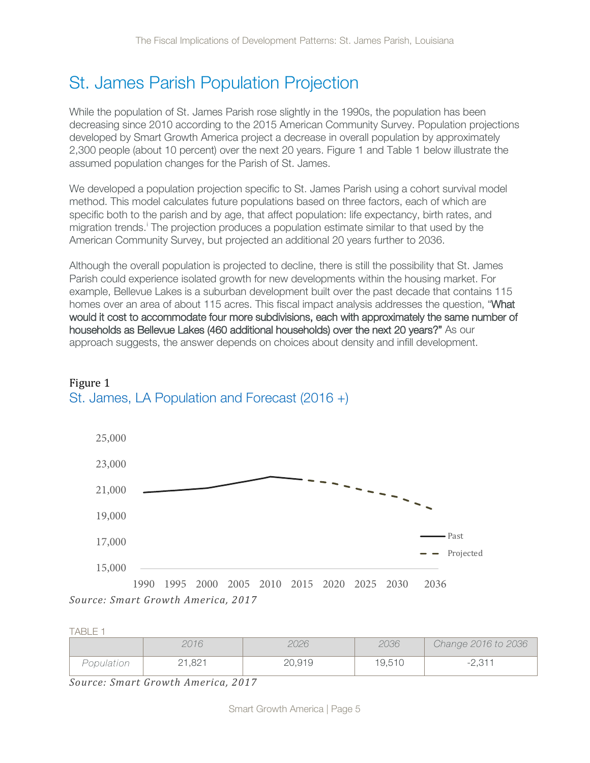## St. James Parish Population Projection

While the population of St. James Parish rose slightly in the 1990s, the population has been decreasing since 2010 according to the 2015 American Community Survey. Population projections developed by Smart Growth America project a decrease in overall population by approximately 2,300 people (about 10 percent) over the next 20 years. [Figure 1](#page-4-0) and [Table 1](#page-4-1) below illustrate the assumed population changes for the Parish of St. James.

We developed a population projection specific to St. James Parish using a cohort survival model method. This model calculates future populations based on three factors, each of which are specific both to the parish and by age, that affect population: life expectancy, birth rates, and migration trends. The projection produces a population estimate similar to that used by the [i](#page-21-0) American Community Survey, but projected an additional 20 years further to 2036.

Although the overall population is projected to decline, there is still the possibility that St. James Parish could experience isolated growth for new developments within the housing market. For example, Bellevue Lakes is a suburban development built over the past decade that contains 115 homes over an area of about 115 acres. This fiscal impact analysis addresses the question, "What would it cost to accommodate four more subdivisions, each with approximately the same number of households as Bellevue Lakes (460 additional households) over the next 20 years?" As our approach suggests, the answer depends on choices about density and infill development.



### <span id="page-4-0"></span>Figure 1 St. James, LA Population and Forecast (2016 +)

#### <span id="page-4-1"></span>TABLE 1

|            | 2016   | 2026   | 2036   | Change 2016 to 2036        |
|------------|--------|--------|--------|----------------------------|
| Population | 21,821 | 20,919 | 19,510 | n 211<br>$\sim$ , $\cup$ 1 |

*Source: Smart Growth America, 2017*

*Source: Smart Growth America, 2017*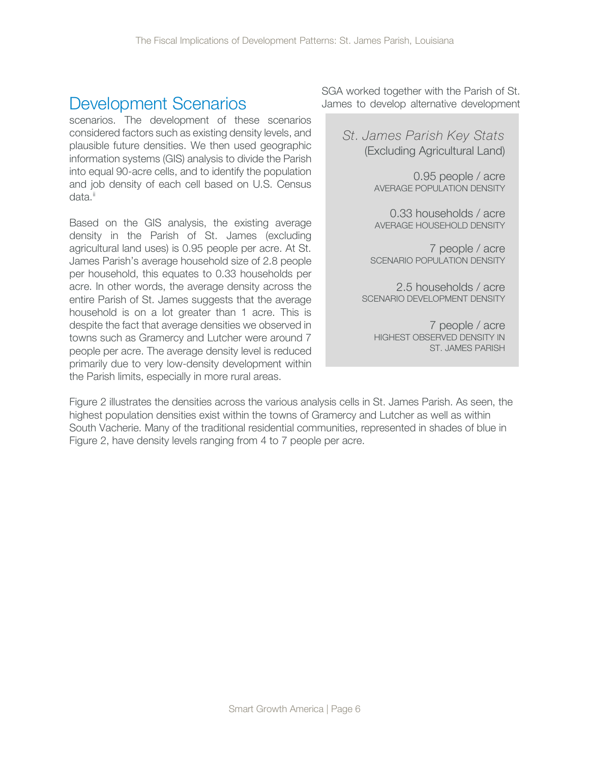### Development Scenarios

scenarios. The development of these scenarios considered factors such as existing density levels, and plausible future densities. We then used geographic information systems (GIS) analysis to divide the Parish into equal 90-acre cells, and to identify the population and job density of each cell based on U.S. Census data.<sup>[ii](#page-21-1)</sup>

Based on the GIS analysis, the existing average density in the Parish of St. James (excluding agricultural land uses) is [0.95](#page-5-0) people per acre. At St. James Parish's average household size of 2.8 people per household, this equates to [0.33 h](#page-5-1)ouseholds per acre. In other words, the average density across the entire Parish of St. James suggests that the average household is on a lot greater than 1 acre. This is despite the fact that average densities we observed in towns such as Gramercy and Lutcher were around 7 people per acre. The average density level is reduced primarily due to very low-density development within the Parish limits, especially in more rural areas.

SGA worked together with the Parish of St. James to develop alternative development

> *St. James Parish Key Stats* (Excluding Agricultural Land)

> > <span id="page-5-0"></span>0.95 people / acre AVERAGE POPULATION DENSITY

> > <span id="page-5-1"></span>0.33 households / acre AVERAGE HOUSEHOLD DENSITY

7 people / acre SCENARIO POPULATION DENSITY

<span id="page-5-3"></span>2.5 households / acre SCENARIO DEVELOPMENT DENSITY

<span id="page-5-2"></span>7 people / acre HIGHEST OBSERVED DENSITY IN ST. JAMES PARISH

[Figure 2](#page-6-0) illustrates the densities across the various analysis cells in St. James Parish. As seen, the highest population densities exist within the towns of Gramercy and Lutcher as well as within South Vacherie. Many of the traditional residential communities, represented in shades of blue in [Figure 2,](#page-6-0) have density levels ranging from 4 to 7 people per acre.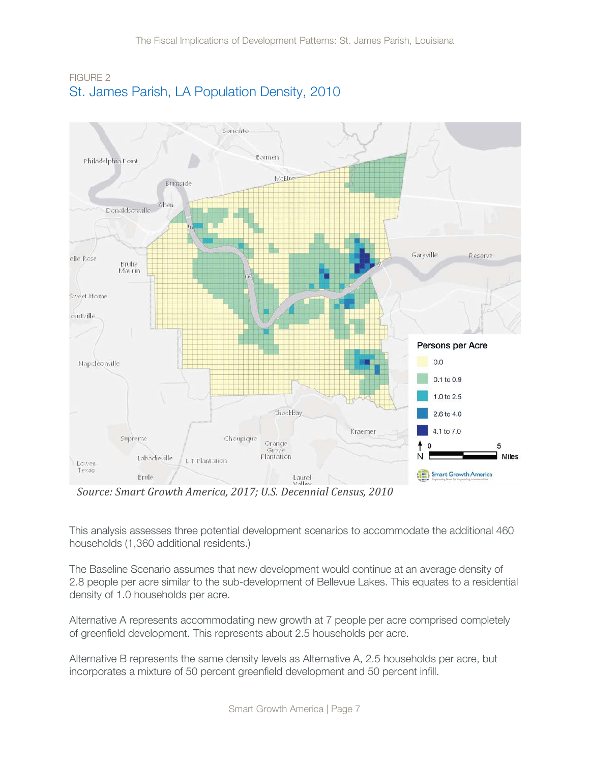

### <span id="page-6-0"></span>FIGURE 2 St. James Parish, LA Population Density, 2010

 *Source: Smart Growth America, 2017; U.S. Decennial Census, 2010*

This analysis assesses three potential development scenarios to accommodate the additional 460 households (1,360 additional residents.)

The Baseline Scenario assumes that new development would continue at an average density of 2.8 people per acre similar to the sub-development of Bellevue Lakes. This equates to a residential density of 1.0 households per acre.

Alternative A represents accommodating new growth at [7](#page-5-2) people per acre comprised completely of greenfield development. This represents about [2.5 h](#page-5-3)ouseholds per acre.

Alternative B represents the same density levels as Alternative A, [2.5 h](#page-5-3)ouseholds per acre, but incorporates a mixture of 50 percent greenfield development and 50 percent infill.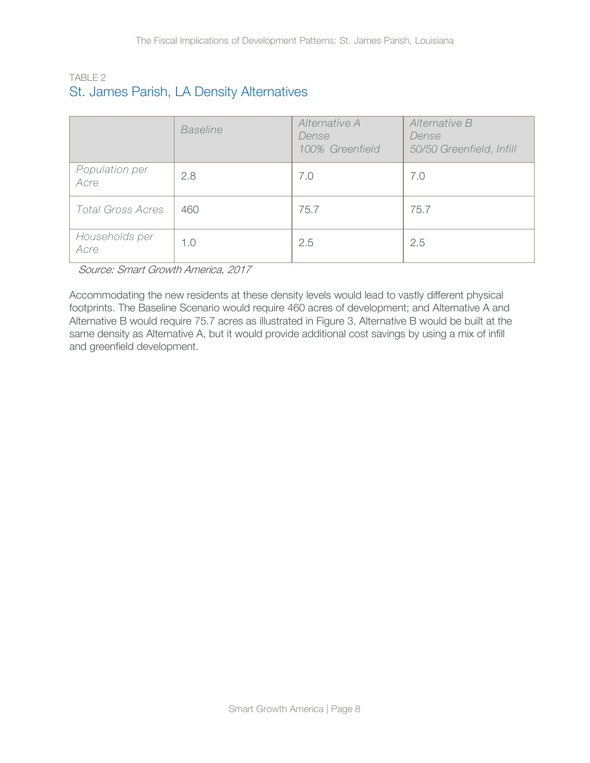#### TABLE 2 St. James Parish, LA Density Alternatives

|                          | <b>Baseline</b> | Alternative A<br>Dense<br>100% Greenfield | Alternative B<br>Dense<br>50/50 Greenfield, Infill |
|--------------------------|-----------------|-------------------------------------------|----------------------------------------------------|
| Population per<br>Acre   | 2.8             | 7.0                                       | 7.0                                                |
| <b>Total Gross Acres</b> | 460             | 75.7                                      | 75.7                                               |
| Households per<br>Acre   | 1.0             | 2.5                                       | 2.5                                                |

<span id="page-7-1"></span><span id="page-7-0"></span>Source: Smart Growth America, 2017

Accommodating the new residents at these density levels would lead to vastly different physical footprints. The Baseline Scenario would require [460](#page-7-0) acres of development; and Alternative A and Alternative B would require [75.7](#page-7-1) acres as illustrated in Figure 3. Alternative B would be built at the same density as Alternative A, but it would provide additional cost savings by using a mix of infill and greenfield development.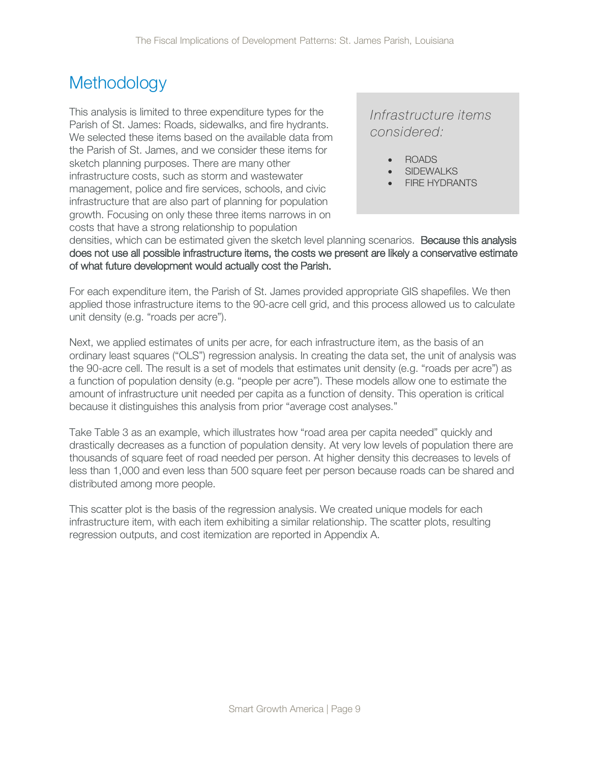## **Methodology**

This analysis is limited to three expenditure types for the Parish of St. James: Roads, sidewalks, and fire hydrants. We selected these items based on the available data from the Parish of St. James, and we consider these items for sketch planning purposes. There are many other infrastructure costs, such as storm and wastewater management, police and fire services, schools, and civic infrastructure that are also part of planning for population growth. Focusing on only these three items narrows in on costs that have a strong relationship to population

*Infrastructure items considered:*

- ROADS
- SIDEWALKS
- **FIRE HYDRANTS**

densities, which can be estimated given the sketch level planning scenarios. Because this analysis does not use all possible infrastructure items, the costs we present are likely a conservative estimate of what future development would actually cost the Parish.

For each expenditure item, the Parish of St. James provided appropriate GIS shapefiles. We then applied those infrastructure items to the 90-acre cell grid, and this process allowed us to calculate unit density (e.g. "roads per acre").

Next, we applied estimates of units per acre, for each infrastructure item, as the basis of an ordinary least squares ("OLS") regression analysis. In creating the data set, the unit of analysis was the 90-acre cell. The result is a set of models that estimates unit density (e.g. "roads per acre") as a function of population density (e.g. "people per acre"). These models allow one to estimate the amount of infrastructure unit needed per capita as a function of density. This operation is critical because it distinguishes this analysis from prior "average cost analyses."

Take [Table 3](#page-9-0) as an example, which illustrates how "road area per capita needed" quickly and drastically decreases as a function of population density. At very low levels of population there are thousands of square feet of road needed per person. At higher density this decreases to levels of less than 1,000 and even less than 500 square feet per person because roads can be shared and distributed among more people.

This scatter plot is the basis of the regression analysis. We created unique models for each infrastructure item, with each item exhibiting a similar relationship. The scatter plots, resulting regression outputs, and cost itemization are reported in Appendix A.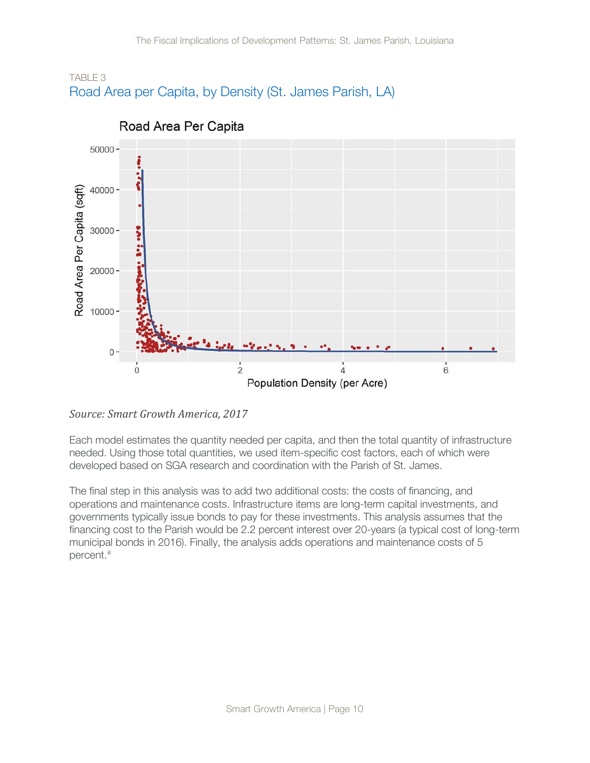<span id="page-9-0"></span>



Road Area Per Capita

*Source: Smart Growth America, 2017*

Each model estimates the quantity needed per capita, and then the total quantity of infrastructure needed. Using those total quantities, we used item-specific cost factors, each of which were developed based on SGA research and coordination with the Parish of St. James.

The final step in this analysis was to add two additional costs: the costs of financing, and operations and maintenance costs. Infrastructure items are long-term capital investments, and governments typically issue bonds to pay for these investments. This analysis assumes that the financing cost to the Parish would be 2.2 percent interest over 20-years (a typical cost of long-term municipal bonds in 2016). Finally, the analysis adds operations and maintenance costs of 5 percent.<sup>[iii](#page-21-2)</sup>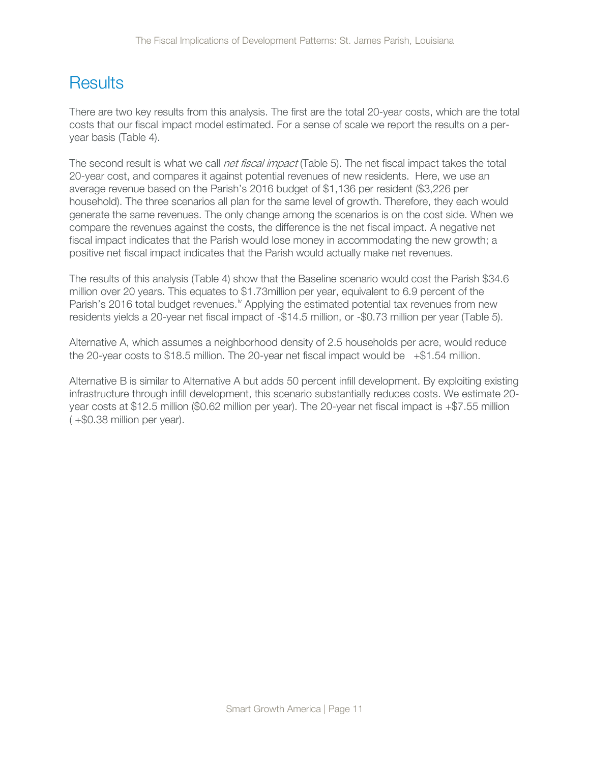## **Results**

There are two key results from this analysis. The first are the total 20-year costs, which are the total costs that our fiscal impact model estimated. For a sense of scale we report the results on a peryear basis [\(Table 4\)](#page-11-2).

The second result is what we call *net fiscal impact* [\(Table 5\)](#page-11-3). The net fiscal impact takes the total 20-year cost, and compares it against potential revenues of new residents. Here, we use an average revenue based on the Parish's 2016 budget of \$1,136 per resident (\$3,226 per household). The three scenarios all plan for the same level of growth. Therefore, they each would generate the same revenues. The only change among the scenarios is on the cost side. When we compare the revenues against the costs, the difference is the net fiscal impact. A negative net fiscal impact indicates that the Parish would lose money in accommodating the new growth; a positive net fiscal impact indicates that the Parish would actually make net revenues.

The results of this analysis [\(Table 4\)](#page-11-2) show that the Baseline scenario would cost the Parish [\\$34.6](#page-11-0) million over 20 years. This equates to [\\$1.73m](#page-11-4)illion per year, equivalent to 6.9 percent of the Parish's 2016 total budget revenues.<sup>[iv](#page-21-3)</sup> Applying the estimated potential tax revenues from new residents yields a 20-year net fiscal impact of [-\\$14.5](#page-11-5) million, or [-\\$0.73](#page-11-6) million per year [\(Table 5\)](#page-11-3).

Alternative A, which assumes a neighborhood density of [2.5 h](#page-5-3)ouseholds per acre, would reduce the 20-year costs to [\\$18.5](#page-11-7) million. The 20-year net fiscal impact would be  $+$ \$1.54 million.

Alternative B is similar to Alternative A but adds 50 percent infill development. By exploiting existing infrastructure through infill development, this scenario substantially reduces costs. We estimate 20 year costs at [\\$12.5](#page-11-1) million [\(\\$0.62](#page-11-9) million per year). The 20-year net fiscal impact is [+\\$7.55](#page-11-10) million ( [+\\$0.38](#page-11-11) million per year).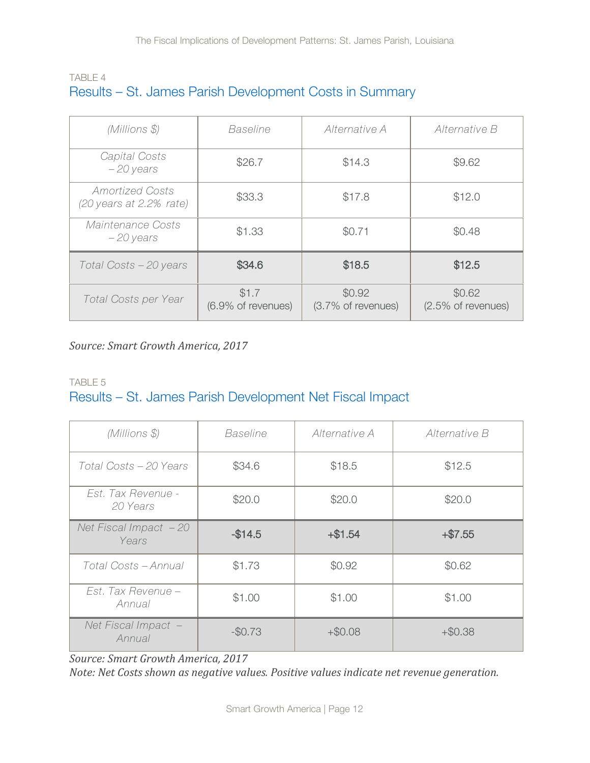#### <span id="page-11-2"></span>TABLE 4 Results – St. James Parish Development Costs in Summary

| (Millions \$)                                     | <b>Baseline</b>             | Alternative A                | Alternative B                |
|---------------------------------------------------|-----------------------------|------------------------------|------------------------------|
| Capital Costs<br>$-20$ years                      | \$26.7                      | \$14.3                       | \$9.62                       |
| <b>Amortized Costs</b><br>(20 years at 2.2% rate) | \$33.3                      | \$17.8                       | \$12.0                       |
| Maintenance Costs<br>-20 years                    | \$1.33                      | \$0.71                       | \$0.48                       |
| Total Costs - 20 years                            | \$34.6                      | \$18.5                       | \$12.5                       |
| Total Costs per Year                              | \$1.7<br>(6.9% of revenues) | \$0.92<br>(3.7% of revenues) | \$0.62<br>(2.5% of revenues) |

#### <span id="page-11-7"></span><span id="page-11-1"></span><span id="page-11-0"></span>*Source: Smart Growth America, 2017*

#### <span id="page-11-3"></span>TABLE 5 Results – St. James Parish Development Net Fiscal Impact

<span id="page-11-10"></span><span id="page-11-8"></span><span id="page-11-5"></span>

| (Millions \$)                    | Baseline | Alternative A | Alternative B |
|----------------------------------|----------|---------------|---------------|
| Total Costs - 20 Years           | \$34.6   | \$18.5        | \$12.5        |
| Est. Tax Revenue -<br>20 Years   | \$20.0   | \$20.0        | \$20.0        |
| Net Fiscal Impact $-20$<br>Years | $-$14.5$ | $+ $1.54$     | $+ $7.55$     |
| Total Costs - Annual             | \$1.73   | \$0.92        | \$0.62        |
| Est. Tax Revenue -<br>Annual     | \$1.00   | \$1.00        | \$1.00        |
| Net Fiscal Impact -<br>Annual    | $-$0.73$ | $+ $0.08$     | $+ $0.38$     |

<span id="page-11-11"></span><span id="page-11-9"></span><span id="page-11-6"></span><span id="page-11-4"></span>*Source: Smart Growth America, 2017*

*Note: Net Costs shown as negative values. Positive values indicate net revenue generation.*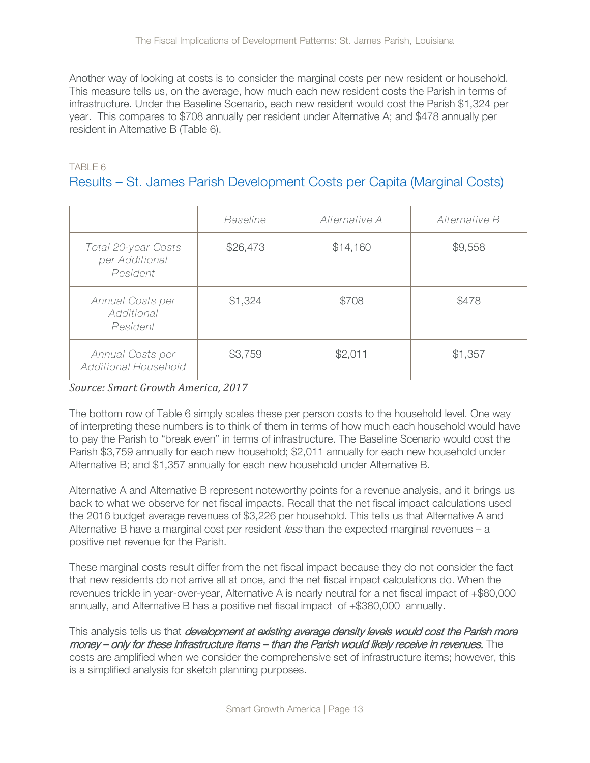Another way of looking at costs is to consider the marginal costs per new resident or household. This measure tells us, on the average, how much each new resident costs the Parish in terms of infrastructure. Under the Baseline Scenario, each new resident would cost the Parish [\\$1,324](#page-12-0) per year. This compares to [\\$708](#page-12-1) annually per resident under Alternative A; and [\\$478](#page-12-2) annually per resident in Alternative B [\(Table 6\)](#page-12-3).

### <span id="page-12-3"></span>TABLE 6 Results – St. James Parish Development Costs per Capita (Marginal Costs)

|                                                   | Baseline | Alternative A | Alternative B |
|---------------------------------------------------|----------|---------------|---------------|
| Total 20-year Costs<br>per Additional<br>Resident | \$26,473 | \$14,160      | \$9,558       |
| Annual Costs per<br>Additional<br>Resident        | \$1,324  | \$708         | \$478         |
| Annual Costs per<br>Additional Household          | \$3,759  | \$2,011       | \$1,357       |

<span id="page-12-6"></span><span id="page-12-5"></span><span id="page-12-4"></span><span id="page-12-2"></span><span id="page-12-1"></span><span id="page-12-0"></span>*Source: Smart Growth America, 2017*

The bottom row of [Table 6](#page-12-3) simply scales these per person costs to the household level. One way of interpreting these numbers is to think of them in terms of how much each household would have to pay the Parish to "break even" in terms of infrastructure. The Baseline Scenario would cost the Parish [\\$3,759](#page-12-4) annually for each new household; [\\$2,011](#page-12-5) annually for each new household under Alternative B; and [\\$1,357](#page-12-6) annually for each new household under Alternative B.

Alternative A and Alternative B represent noteworthy points for a revenue analysis, and it brings us back to what we observe for net fiscal impacts. Recall that the net fiscal impact calculations used the 2016 budget average revenues of \$3,226 per household. This tells us that Alternative A and Alternative B have a marginal cost per resident *less* than the expected marginal revenues  $- a$ positive net revenue for the Parish.

These marginal costs result differ from the net fiscal impact because they do not consider the fact that new residents do not arrive all at once, and the net fiscal impact calculations do. When the revenues trickle in year-over-year, Alternative A is nearly neutral for a net fiscal impact of +\$80,000 annually, and Alternative B has a positive net fiscal impact of [+\\$380](#page-11-11),000 annually.

This analysis tells us that *development at existing average density levels would cost the Parish more* money – only for these infrastructure items – than the Parish would likely receive in revenues. The costs are amplified when we consider the comprehensive set of infrastructure items; however, this is a simplified analysis for sketch planning purposes.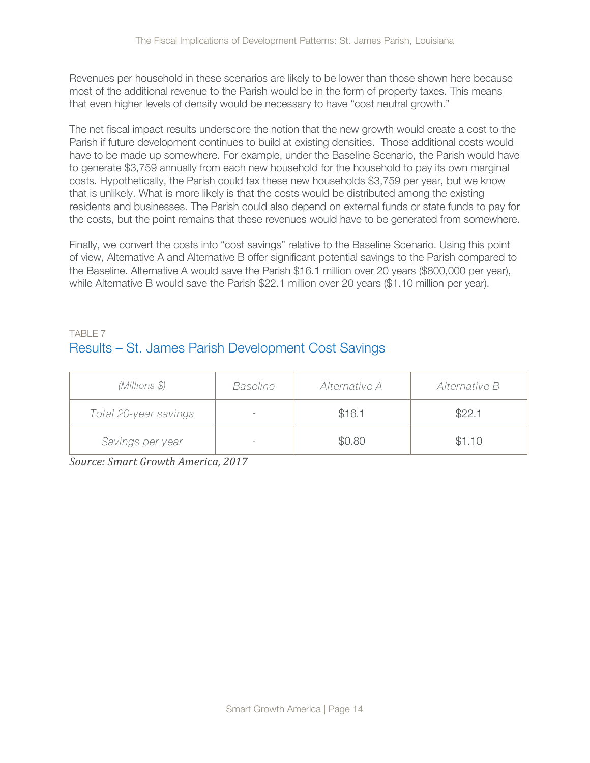Revenues per household in these scenarios are likely to be lower than those shown here because most of the additional revenue to the Parish would be in the form of property taxes. This means that even higher levels of density would be necessary to have "cost neutral growth."

The net fiscal impact results underscore the notion that the new growth would create a cost to the Parish if future development continues to build at existing densities. Those additional costs would have to be made up somewhere. For example, under the Baseline Scenario, the Parish would have to generate [\\$3,759](#page-12-4) annually from each new household for the household to pay its own marginal costs. Hypothetically, the Parish could tax these new households [\\$3,759](#page-12-4) per year, but we know that is unlikely. What is more likely is that the costs would be distributed among the existing residents and businesses. The Parish could also depend on external funds or state funds to pay for the costs, but the point remains that these revenues would have to be generated from somewhere.

Finally, we convert the costs into "cost savings" relative to the Baseline Scenario. Using this point of view, Alternative A and Alternative B offer significant potential savings to the Parish compared to the Baseline. Alternative A would save the Parish [\\$16.1](#page-13-1) million over 20 years (\$800,000 per year), while Alternative B would save the Parish [\\$22.1](#page-13-0) million over 20 years [\(\\$1.10](#page-13-2) million per year).

#### TABLE 7 Results – St. James Parish Development Cost Savings

<span id="page-13-1"></span><span id="page-13-0"></span>

| (Millions \$)         | <b>Baseline</b>          | Alternative A | Alternative B |
|-----------------------|--------------------------|---------------|---------------|
| Total 20-year savings | $\overline{\phantom{0}}$ | \$16.1        | \$22.1        |
| Savings per year      | $\overline{\phantom{0}}$ | \$0.80        | \$1.10        |

<span id="page-13-2"></span>*Source: Smart Growth America, 2017*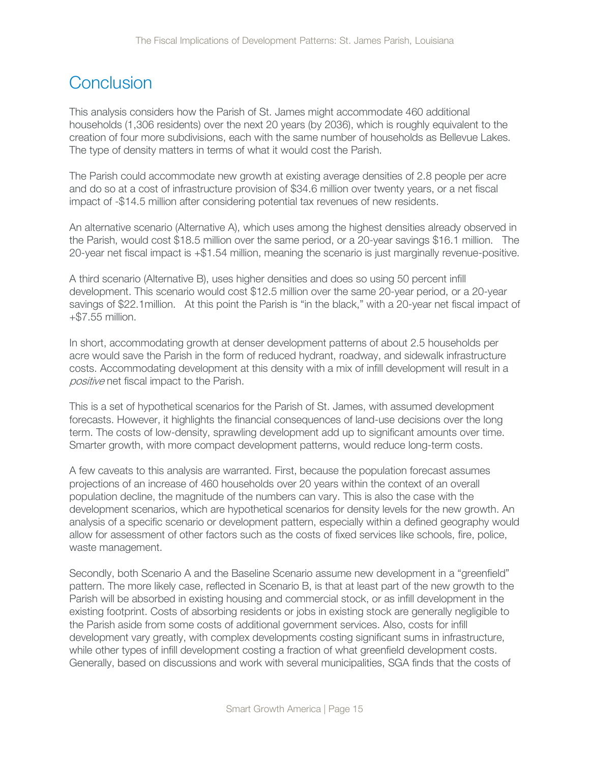## **Conclusion**

This analysis considers how the Parish of St. James might accommodate 460 additional households (1,306 residents) over the next 20 years (by 2036), which is roughly equivalent to the creation of four more subdivisions, each with the same number of households as Bellevue Lakes. The type of density matters in terms of what it would cost the Parish.

The Parish could accommodate new growth at existing average densities of 2.8 people per acre and do so at a cost of infrastructure provision of [\\$34.6](#page-11-0) million over twenty years, or a net fiscal impact of [-\\$14.5](#page-11-5) million after considering potential tax revenues of new residents.

An alternative scenario (Alternative A), which uses among the highest densities already observed in the Parish, would cost [\\$18.5](#page-11-7) million over the same period, or a 20-year savings [\\$16.1](#page-13-1) million. The 20-year net fiscal impact is [+\\$1.54](#page-11-8) million, meaning the scenario is just marginally revenue-positive.

A third scenario (Alternative B), uses higher densities and does so using 50 percent infill development. This scenario would cost [\\$12.5](#page-11-1) million over the same 20-year period, or a 20-year savings of [\\$22.1m](#page-13-0)illion. At this point the Parish is "in the black," with a 20-year net fiscal impact of [+\\$7.55](#page-11-10) million.

In short, accommodating growth at denser development patterns of about 2.5 households per acre would save the Parish in the form of reduced hydrant, roadway, and sidewalk infrastructure costs. Accommodating development at this density with a mix of infill development will result in a positive net fiscal impact to the Parish.

This is a set of hypothetical scenarios for the Parish of St. James, with assumed development forecasts. However, it highlights the financial consequences of land-use decisions over the long term. The costs of low-density, sprawling development add up to significant amounts over time. Smarter growth, with more compact development patterns, would reduce long-term costs.

A few caveats to this analysis are warranted. First, because the population forecast assumes projections of an increase of 460 households over 20 years within the context of an overall population decline, the magnitude of the numbers can vary. This is also the case with the development scenarios, which are hypothetical scenarios for density levels for the new growth. An analysis of a specific scenario or development pattern, especially within a defined geography would allow for assessment of other factors such as the costs of fixed services like schools, fire, police, waste management.

Secondly, both Scenario A and the Baseline Scenario assume new development in a "greenfield" pattern. The more likely case, reflected in Scenario B, is that at least part of the new growth to the Parish will be absorbed in existing housing and commercial stock, or as infill development in the existing footprint. Costs of absorbing residents or jobs in existing stock are generally negligible to the Parish aside from some costs of additional government services. Also, costs for infill development vary greatly, with complex developments costing significant sums in infrastructure, while other types of infill development costing a fraction of what greenfield development costs. Generally, based on discussions and work with several municipalities, SGA finds that the costs of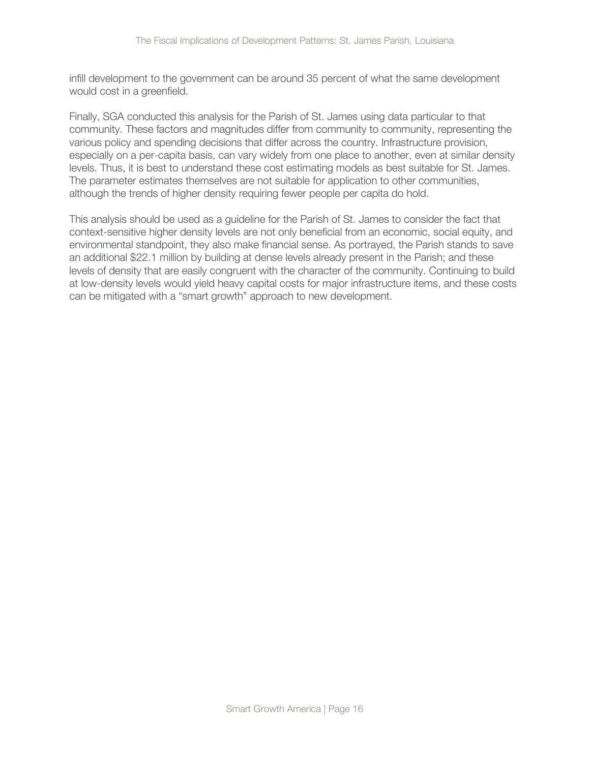infill development to the government can be around 35 percent of what the same development would cost in a greenfield.

Finally, SGA conducted this analysis for the Parish of St. James using data particular to that community. These factors and magnitudes differ from community to community, representing the various policy and spending decisions that differ across the country. Infrastructure provision, especially on a per-capita basis, can vary widely from one place to another, even at similar density levels. Thus, it is best to understand these cost estimating models as best suitable for St. James. The parameter estimates themselves are not suitable for application to other communities, although the trends of higher density requiring fewer people per capita do hold.

This analysis should be used as a guideline for the Parish of St. James to consider the fact that context-sensitive higher density levels are not only beneficial from an economic, social equity, and environmental standpoint, they also make financial sense. As portrayed, the Parish stands to save an additional [\\$22.1](#page-13-0) million by building at dense levels already present in the Parish; and these levels of density that are easily congruent with the character of the community. Continuing to build at low-density levels would yield heavy capital costs for major infrastructure items, and these costs can be mitigated with a "smart growth" approach to new development.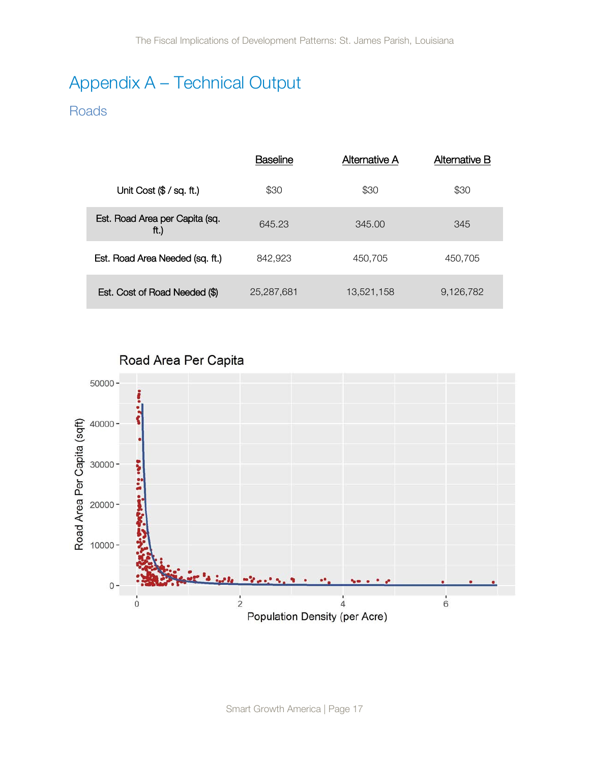# Appendix A – Technical Output

### **Roads**

|                                        | <b>Baseline</b> | Alternative A | <b>Alternative B</b> |
|----------------------------------------|-----------------|---------------|----------------------|
| Unit Cost $(\$ / sq. ft.)$             | \$30            | \$30          | \$30                 |
| Est. Road Area per Capita (sq.<br>ft.) | 645.23          | 345.00        | 345                  |
| Est. Road Area Needed (sq. ft.)        | 842,923         | 450,705       | 450,705              |
| Est. Cost of Road Needed (\$)          | 25,287,681      | 13,521,158    | 9,126,782            |



Smart Growth America | Page 17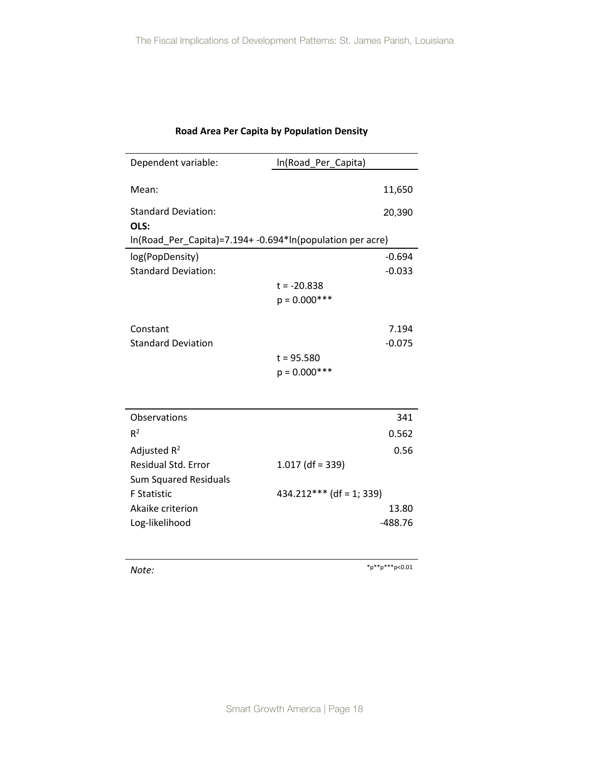| Dependent variable:          | In(Road Per Capita)                                       |       |
|------------------------------|-----------------------------------------------------------|-------|
| Mean:                        | 11,650                                                    |       |
| <b>Standard Deviation:</b>   | 20,390                                                    |       |
| OLS:                         |                                                           |       |
|                              | In(Road_Per_Capita)=7.194+ -0.694*In(population per acre) |       |
| log(PopDensity)              | $-0.694$                                                  |       |
| <b>Standard Deviation:</b>   | $-0.033$                                                  |       |
|                              | $t = -20.838$                                             |       |
|                              | $p = 0.000$ ***                                           |       |
| Constant                     |                                                           | 7.194 |
| <b>Standard Deviation</b>    | $-0.075$                                                  |       |
|                              | $t = 95.580$                                              |       |
|                              | $p = 0.000$ ***                                           |       |
| Observations                 |                                                           | 341   |
| $R^2$                        |                                                           | 0.562 |
| Adjusted $R^2$               |                                                           | 0.56  |
| <b>Residual Std. Error</b>   | $1.017$ (df = 339)                                        |       |
| <b>Sum Squared Residuals</b> |                                                           |       |
| <b>F Statistic</b>           | $434.212***$ (df = 1; 339)                                |       |
| Akaike criterion             |                                                           | 13.80 |

Log-likelihood -488.76

#### **Road Area Per Capita by Population Density**

**Note:**  $*_{p**p^{***}p<0.01}$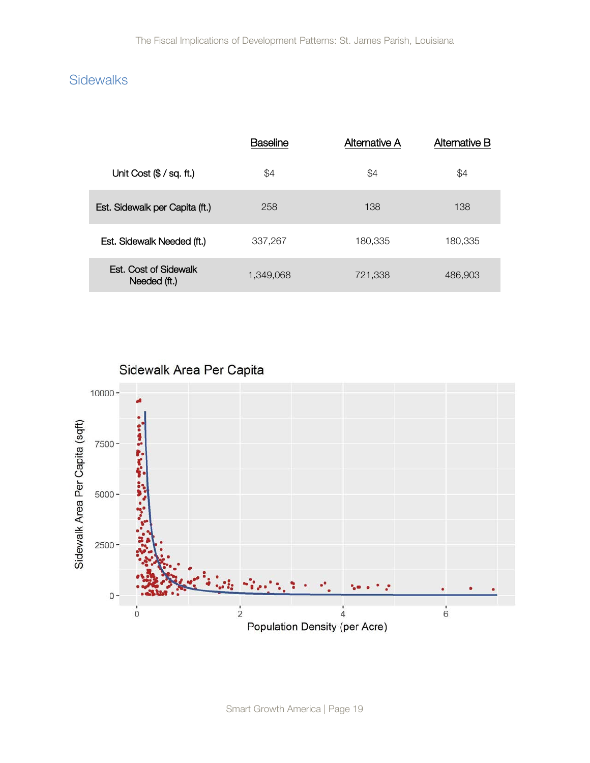### **Sidewalks**

|                                       | <b>Baseline</b> | Alternative A | <b>Alternative B</b> |
|---------------------------------------|-----------------|---------------|----------------------|
| Unit Cost $(\$ / sq. ft.)$            | \$4             | \$4           | \$4                  |
| Est. Sidewalk per Capita (ft.)        | 258             | 138           | 138                  |
| Est. Sidewalk Needed (ft.)            | 337,267         | 180,335       | 180,335              |
| Est. Cost of Sidewalk<br>Needed (ft.) | 1,349,068       | 721,338       | 486,903              |

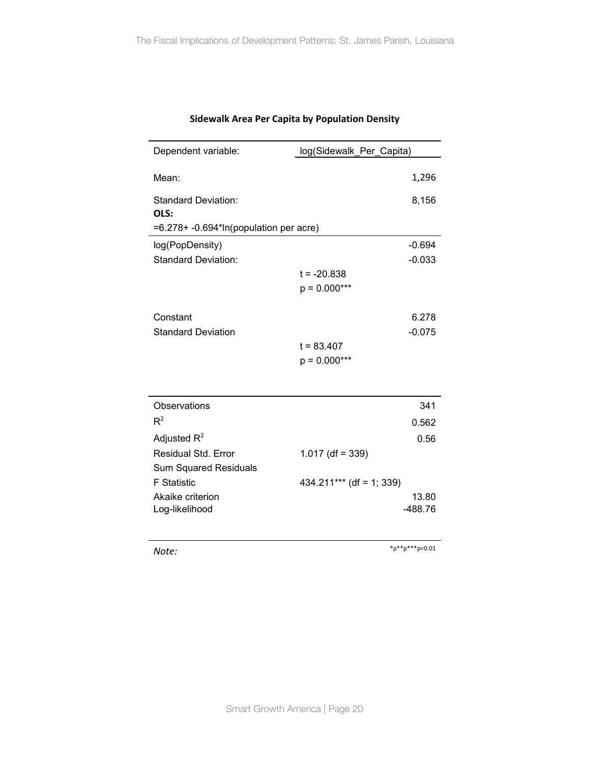| Dependent variable:                       | log(Sidewalk_Per_Capita)   |
|-------------------------------------------|----------------------------|
|                                           |                            |
| Mean:                                     | 1,296                      |
| <b>Standard Deviation:</b>                | 8,156                      |
| OLS:                                      |                            |
| $=6.278+ -0.694*$ In(population per acre) |                            |
| log(PopDensity)                           | $-0.694$                   |
| <b>Standard Deviation:</b>                | $-0.033$                   |
|                                           | t = -20.838                |
|                                           | $p = 0.000***$             |
|                                           |                            |
| Constant                                  | 6.278                      |
| <b>Standard Deviation</b>                 | $-0.075$                   |
|                                           | $t = 83.407$               |
|                                           | $p = 0.000***$             |
|                                           |                            |
| Observations                              | 341                        |
| $R^2$                                     | 0.562                      |
| Adjusted $R^2$                            | 0.56                       |
| Residual Std. Error                       | 1.017 (df = $339$ )        |
| <b>Sum Squared Residuals</b>              |                            |
| <b>F</b> Statistic                        | $434.211***$ (df = 1; 339) |
| Akaike criterion                          | 13.80                      |
| Log-likelihood                            | $-488.76$                  |

#### **Sidewalk Area Per Capita by Population Density**

**Note:**  $*_{p^{**}p^{**}p^{<0.01}}$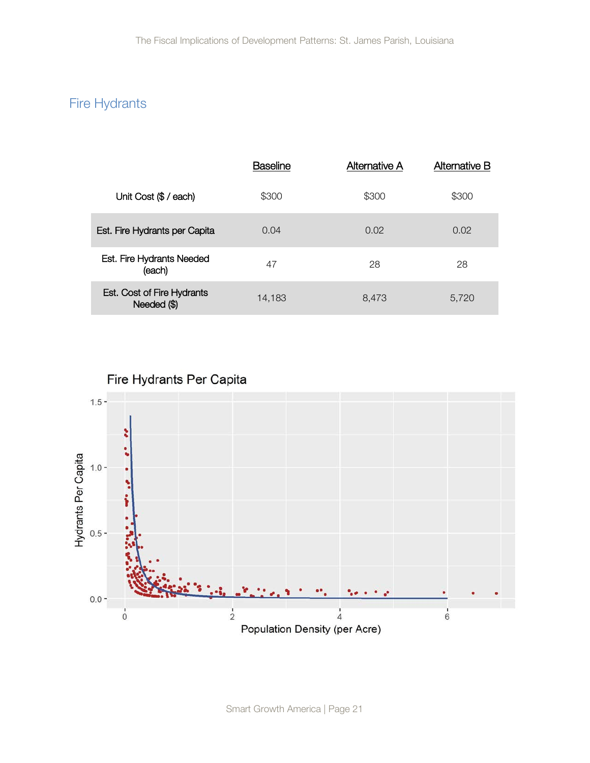### Fire Hydrants

|                                           | <b>Baseline</b> | Alternative A | <b>Alternative B</b> |
|-------------------------------------------|-----------------|---------------|----------------------|
| Unit Cost $(\$ / each)$                   | \$300           | \$300         | \$300                |
| Est. Fire Hydrants per Capita             | 0.04            | 0.02          | 0.02                 |
| Est. Fire Hydrants Needed<br>(each)       | 47              | 28            | 28                   |
| Est. Cost of Fire Hydrants<br>Needed (\$) | 14,183          | 8,473         | 5,720                |



Smart Growth America | Page 21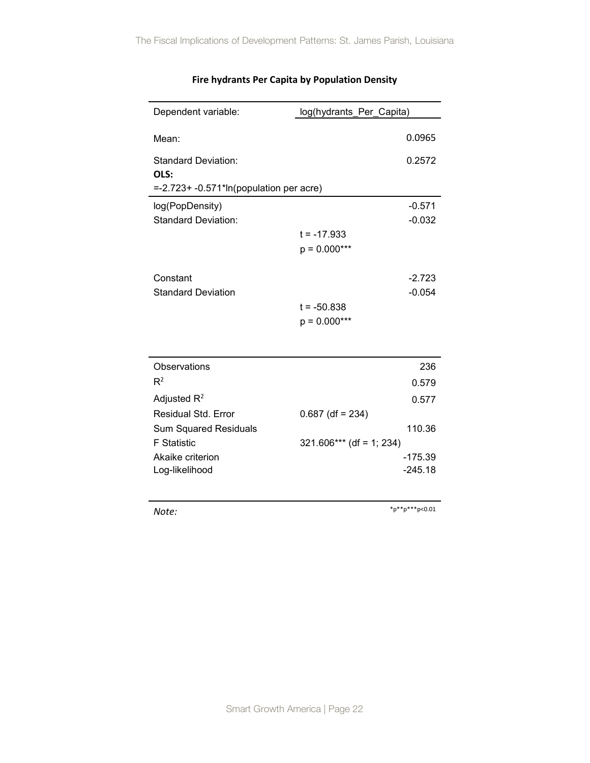<span id="page-21-2"></span><span id="page-21-1"></span><span id="page-21-0"></span>

| Dependent variable:                                  | log(hydrants_Per_Capita)   |
|------------------------------------------------------|----------------------------|
| Mean:                                                | 0.0965                     |
| <b>Standard Deviation:</b>                           | 0.2572                     |
| OLS:<br>$= -2.723 + -0.571$ *ln(population per acre) |                            |
| log(PopDensity)                                      | $-0.571$                   |
| <b>Standard Deviation:</b>                           | $-0.032$                   |
|                                                      | $t = -17.933$              |
|                                                      | $p = 0.000***$             |
| Constant                                             | $-2.723$                   |
| <b>Standard Deviation</b>                            | $-0.054$                   |
|                                                      | $t = -50.838$              |
|                                                      | $p = 0.000***$             |
|                                                      |                            |
| Observations                                         | 236                        |
| $R^2$                                                | 0.579                      |
| Adjusted $R^2$                                       | 0.577                      |
| <b>Residual Std. Error</b>                           | $0.687$ (df = 234)         |
| Sum Squared Residuals                                | 110.36                     |
| <b>F</b> Statistic                                   | $321.606***$ (df = 1; 234) |
| Akaike criterion                                     | $-175.39$                  |
| Log-likelihood                                       | $-245.18$                  |
|                                                      |                            |

#### **Fire hydrants Per Capita by Population Density**

<span id="page-21-3"></span>

**Note:**  $*_{p^{**}p^{**}p^{**}p^{**}} \sim 0.01$